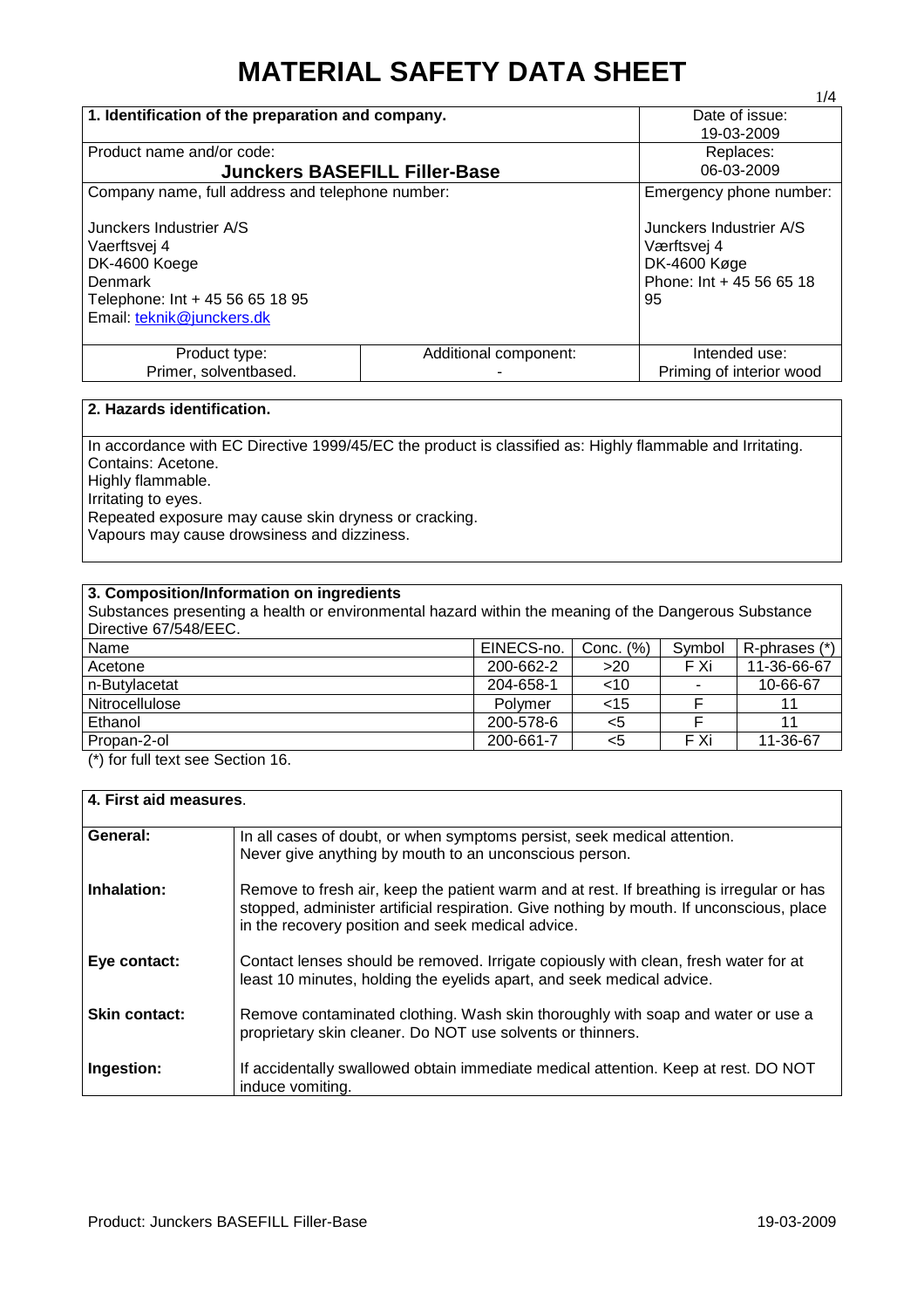# **MATERIAL SAFETY DATA SHEET**

|                                                                                                                                     |                                      | 1/4                                                                                      |  |
|-------------------------------------------------------------------------------------------------------------------------------------|--------------------------------------|------------------------------------------------------------------------------------------|--|
| 1. Identification of the preparation and company.                                                                                   |                                      | Date of issue:                                                                           |  |
|                                                                                                                                     |                                      | 19-03-2009                                                                               |  |
| Product name and/or code:                                                                                                           |                                      | Replaces:                                                                                |  |
|                                                                                                                                     | <b>Junckers BASEFILL Filler-Base</b> | 06-03-2009                                                                               |  |
| Company name, full address and telephone number:                                                                                    |                                      | Emergency phone number:                                                                  |  |
| Junckers Industrier A/S<br>Vaerftsvej 4<br>DK-4600 Koege<br>Denmark<br>Telephone: Int + 45 56 65 18 95<br>Email: teknik@junckers.dk |                                      | Junckers Industrier A/S<br>Værftsvej 4<br>DK-4600 Køge<br>Phone: Int + 45 56 65 18<br>95 |  |
| Product type:                                                                                                                       | Additional component:                | Intended use:                                                                            |  |
| Primer, solventbased.<br>Priming of interior wood                                                                                   |                                      |                                                                                          |  |

## **2. Hazards identification.**

In accordance with EC Directive 1999/45/EC the product is classified as: Highly flammable and Irritating. Contains: Acetone. Highly flammable. Irritating to eyes. Repeated exposure may cause skin dryness or cracking. Vapours may cause drowsiness and dizziness.

## **3. Composition/Information on ingredients**

| Substances presenting a health or environmental hazard within the meaning of the Dangerous Substance<br>Directive 67/548/EEC. |            |           |        |               |
|-------------------------------------------------------------------------------------------------------------------------------|------------|-----------|--------|---------------|
| Name                                                                                                                          | EINECS-no. | Conc. (%) | Symbol | R-phrases (*) |
| Acetone                                                                                                                       | 200-662-2  | >20       | F Xi   | 11-36-66-67   |
| n-Butvlacetat                                                                                                                 | 204-658-1  | $<$ 10    |        | 10-66-67      |
| Nitrocellulose                                                                                                                | Polymer    | $<$ 15    |        | 11            |
| Ethanol                                                                                                                       | 200-578-6  | $<$ 5     |        | 11            |
| Propan-2-ol                                                                                                                   | 200-661-7  | $5$       | F Xi   | 11-36-67      |

(\*) for full text see Section 16.

| 4. First aid measures. |                                                                                                                                                                                                                                           |
|------------------------|-------------------------------------------------------------------------------------------------------------------------------------------------------------------------------------------------------------------------------------------|
| General:               | In all cases of doubt, or when symptoms persist, seek medical attention.<br>Never give anything by mouth to an unconscious person.                                                                                                        |
| Inhalation:            | Remove to fresh air, keep the patient warm and at rest. If breathing is irregular or has<br>stopped, administer artificial respiration. Give nothing by mouth. If unconscious, place<br>in the recovery position and seek medical advice. |
| Eye contact:           | Contact lenses should be removed. Irrigate copiously with clean, fresh water for at<br>least 10 minutes, holding the eyelids apart, and seek medical advice.                                                                              |
| <b>Skin contact:</b>   | Remove contaminated clothing. Wash skin thoroughly with soap and water or use a<br>proprietary skin cleaner. Do NOT use solvents or thinners.                                                                                             |
| Ingestion:             | If accidentally swallowed obtain immediate medical attention. Keep at rest. DO NOT<br>induce vomiting.                                                                                                                                    |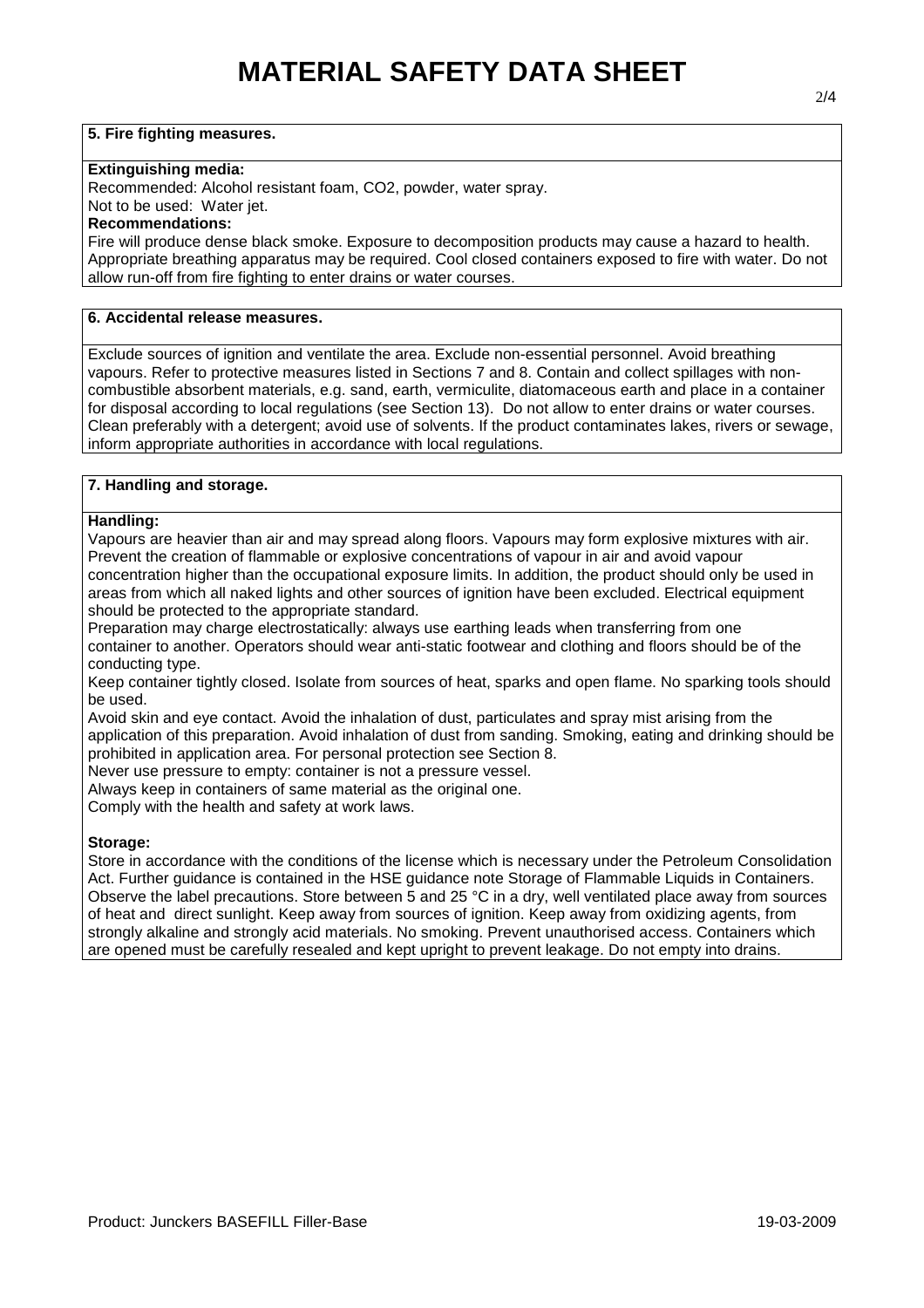## **5. Fire fighting measures.**

#### **Extinguishing media:**

Recommended: Alcohol resistant foam, CO2, powder, water spray.

Not to be used: Water jet.

#### **Recommendations:**

Fire will produce dense black smoke. Exposure to decomposition products may cause a hazard to health. Appropriate breathing apparatus may be required. Cool closed containers exposed to fire with water. Do not allow run-off from fire fighting to enter drains or water courses.

## **6. Accidental release measures.**

Exclude sources of ignition and ventilate the area. Exclude non-essential personnel. Avoid breathing vapours. Refer to protective measures listed in Sections 7 and 8. Contain and collect spillages with noncombustible absorbent materials, e.g. sand, earth, vermiculite, diatomaceous earth and place in a container for disposal according to local regulations (see Section 13). Do not allow to enter drains or water courses. Clean preferably with a detergent; avoid use of solvents. If the product contaminates lakes, rivers or sewage, inform appropriate authorities in accordance with local regulations.

## **7. Handling and storage.**

#### **Handling:**

Vapours are heavier than air and may spread along floors. Vapours may form explosive mixtures with air. Prevent the creation of flammable or explosive concentrations of vapour in air and avoid vapour concentration higher than the occupational exposure limits. In addition, the product should only be used in areas from which all naked lights and other sources of ignition have been excluded. Electrical equipment should be protected to the appropriate standard.

Preparation may charge electrostatically: always use earthing leads when transferring from one container to another. Operators should wear anti-static footwear and clothing and floors should be of the conducting type.

Keep container tightly closed. Isolate from sources of heat, sparks and open flame. No sparking tools should be used.

Avoid skin and eye contact. Avoid the inhalation of dust, particulates and spray mist arising from the application of this preparation. Avoid inhalation of dust from sanding. Smoking, eating and drinking should be prohibited in application area. For personal protection see Section 8.

Never use pressure to empty: container is not a pressure vessel.

Always keep in containers of same material as the original one.

Comply with the health and safety at work laws.

## **Storage:**

Store in accordance with the conditions of the license which is necessary under the Petroleum Consolidation Act. Further guidance is contained in the HSE guidance note Storage of Flammable Liquids in Containers. Observe the label precautions. Store between 5 and 25 °C in a dry, well ventilated place away from sources of heat and direct sunlight. Keep away from sources of ignition. Keep away from oxidizing agents, from strongly alkaline and strongly acid materials. No smoking. Prevent unauthorised access. Containers which are opened must be carefully resealed and kept upright to prevent leakage. Do not empty into drains.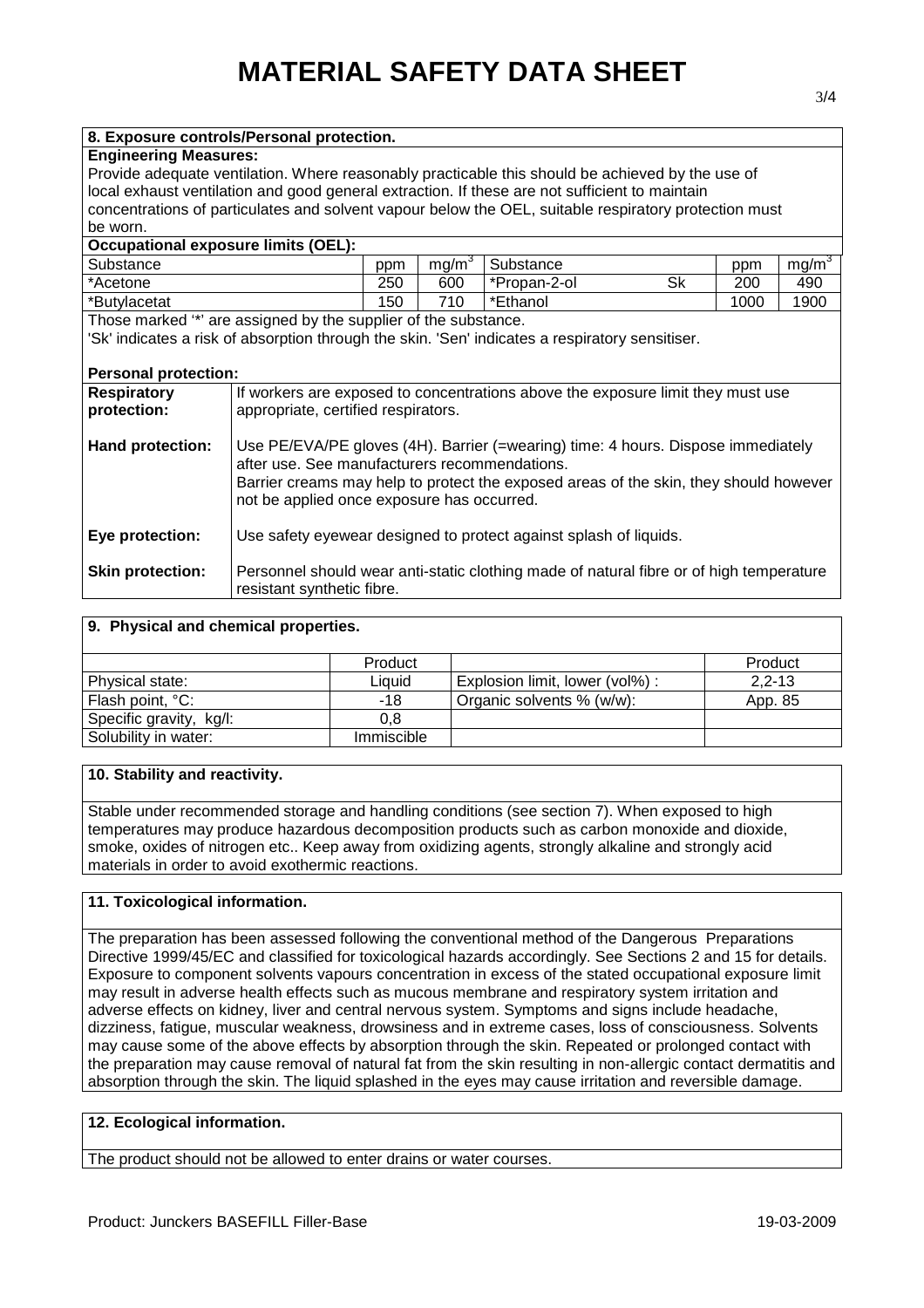| <b>Engineering Measures:</b>                                                                     |                                                                                                |                                                                                 |                   |                                                                                                       |    |      |                   |
|--------------------------------------------------------------------------------------------------|------------------------------------------------------------------------------------------------|---------------------------------------------------------------------------------|-------------------|-------------------------------------------------------------------------------------------------------|----|------|-------------------|
| Provide adequate ventilation. Where reasonably practicable this should be achieved by the use of |                                                                                                |                                                                                 |                   |                                                                                                       |    |      |                   |
|                                                                                                  | local exhaust ventilation and good general extraction. If these are not sufficient to maintain |                                                                                 |                   |                                                                                                       |    |      |                   |
|                                                                                                  |                                                                                                |                                                                                 |                   | concentrations of particulates and solvent vapour below the OEL, suitable respiratory protection must |    |      |                   |
| be worn.                                                                                         |                                                                                                |                                                                                 |                   |                                                                                                       |    |      |                   |
| <b>Occupational exposure limits (OEL):</b>                                                       |                                                                                                |                                                                                 |                   |                                                                                                       |    |      |                   |
| Substance                                                                                        |                                                                                                | ppm                                                                             | mg/m <sup>3</sup> | Substance                                                                                             |    | ppm  | mg/m <sup>3</sup> |
| *Acetone                                                                                         |                                                                                                | 250                                                                             | 600               | *Propan-2-ol                                                                                          | Sk | 200  | 490               |
|                                                                                                  |                                                                                                | 150                                                                             | 710               | *Ethanol                                                                                              |    | 1000 | 1900              |
| *Butylacetat                                                                                     |                                                                                                |                                                                                 |                   |                                                                                                       |    |      |                   |
| Those marked "*' are assigned by the supplier of the substance.                                  |                                                                                                |                                                                                 |                   |                                                                                                       |    |      |                   |
|                                                                                                  |                                                                                                |                                                                                 |                   | 'Sk' indicates a risk of absorption through the skin. 'Sen' indicates a respiratory sensitiser.       |    |      |                   |
|                                                                                                  |                                                                                                |                                                                                 |                   |                                                                                                       |    |      |                   |
| <b>Personal protection:</b>                                                                      |                                                                                                |                                                                                 |                   |                                                                                                       |    |      |                   |
| <b>Respiratory</b>                                                                               |                                                                                                | If workers are exposed to concentrations above the exposure limit they must use |                   |                                                                                                       |    |      |                   |
| protection:                                                                                      |                                                                                                | appropriate, certified respirators.                                             |                   |                                                                                                       |    |      |                   |
|                                                                                                  |                                                                                                |                                                                                 |                   |                                                                                                       |    |      |                   |
| Hand protection:                                                                                 | Use PE/EVA/PE gloves (4H). Barrier (=wearing) time: 4 hours. Dispose immediately               |                                                                                 |                   |                                                                                                       |    |      |                   |
|                                                                                                  | after use. See manufacturers recommendations.                                                  |                                                                                 |                   |                                                                                                       |    |      |                   |
|                                                                                                  | Barrier creams may help to protect the exposed areas of the skin, they should however          |                                                                                 |                   |                                                                                                       |    |      |                   |
|                                                                                                  | not be applied once exposure has occurred.                                                     |                                                                                 |                   |                                                                                                       |    |      |                   |
|                                                                                                  |                                                                                                |                                                                                 |                   |                                                                                                       |    |      |                   |
| Eye protection:                                                                                  | Use safety eyewear designed to protect against splash of liquids.                              |                                                                                 |                   |                                                                                                       |    |      |                   |
|                                                                                                  |                                                                                                |                                                                                 |                   |                                                                                                       |    |      |                   |
| <b>Skin protection:</b>                                                                          | Personnel should wear anti-static clothing made of natural fibre or of high temperature        |                                                                                 |                   |                                                                                                       |    |      |                   |
|                                                                                                  | resistant synthetic fibre.                                                                     |                                                                                 |                   |                                                                                                       |    |      |                   |
|                                                                                                  |                                                                                                |                                                                                 |                   |                                                                                                       |    |      |                   |

| 9. Physical and chemical properties. |            |                                 |          |
|--------------------------------------|------------|---------------------------------|----------|
|                                      | Product    |                                 | Product  |
| Physical state:                      | Liquid     | Explosion limit, lower (vol%) : | $2,2-13$ |
| Flash point, °C:                     | -18        | Organic solvents % (w/w):       | App. 85  |
| Specific gravity, kg/l:              | 0.8        |                                 |          |
| Solubility in water:                 | Immiscible |                                 |          |

## **10. Stability and reactivity.**

**8. Exposure controls/Personal protection.**

Stable under recommended storage and handling conditions (see section 7). When exposed to high temperatures may produce hazardous decomposition products such as carbon monoxide and dioxide, smoke, oxides of nitrogen etc.. Keep away from oxidizing agents, strongly alkaline and strongly acid materials in order to avoid exothermic reactions.

## **11. Toxicological information.**

The preparation has been assessed following the conventional method of the Dangerous Preparations Directive 1999/45/EC and classified for toxicological hazards accordingly. See Sections 2 and 15 for details. Exposure to component solvents vapours concentration in excess of the stated occupational exposure limit may result in adverse health effects such as mucous membrane and respiratory system irritation and adverse effects on kidney, liver and central nervous system. Symptoms and signs include headache, dizziness, fatigue, muscular weakness, drowsiness and in extreme cases, loss of consciousness. Solvents may cause some of the above effects by absorption through the skin. Repeated or prolonged contact with the preparation may cause removal of natural fat from the skin resulting in non-allergic contact dermatitis and absorption through the skin. The liquid splashed in the eyes may cause irritation and reversible damage.

#### **12. Ecological information.**

The product should not be allowed to enter drains or water courses.